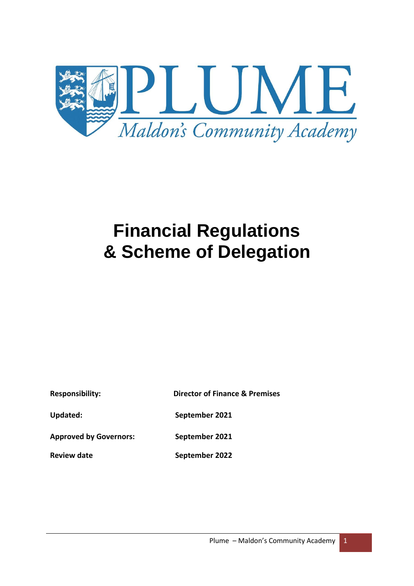

# **Financial Regulations & Scheme of Delegation**

| <b>Responsibility:</b>        | <b>Director of Finance &amp; Premises</b> |  |
|-------------------------------|-------------------------------------------|--|
| Updated:                      | September 2021                            |  |
| <b>Approved by Governors:</b> | September 2021                            |  |

**Review date September 2022**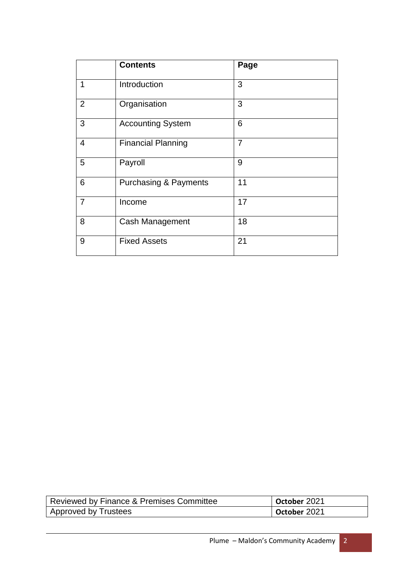|                | <b>Contents</b>                  | Page           |
|----------------|----------------------------------|----------------|
| 1              | Introduction                     | 3              |
| $\overline{2}$ | Organisation                     | 3              |
| 3              | <b>Accounting System</b>         | 6              |
| $\overline{4}$ | <b>Financial Planning</b>        | $\overline{7}$ |
| 5              | Payroll                          | 9              |
| 6              | <b>Purchasing &amp; Payments</b> | 11             |
| $\overline{7}$ | Income                           | 17             |
| 8              | Cash Management                  | 18             |
| 9              | <b>Fixed Assets</b>              | 21             |

| Reviewed by Finance & Premises Committee | October 2021 |
|------------------------------------------|--------------|
| Approved by Trustees                     | October 2021 |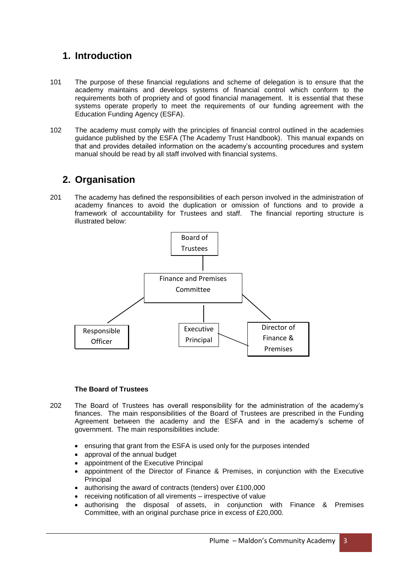# **1. Introduction**

- 101 The purpose of these financial regulations and scheme of delegation is to ensure that the academy maintains and develops systems of financial control which conform to the requirements both of propriety and of good financial management. It is essential that these systems operate properly to meet the requirements of our funding agreement with the Education Funding Agency (ESFA).
- 102 The academy must comply with the principles of financial control outlined in the academies guidance published by the ESFA (The Academy Trust Handbook). This manual expands on that and provides detailed information on the academy's accounting procedures and system manual should be read by all staff involved with financial systems.

## **2. Organisation**

201 The academy has defined the responsibilities of each person involved in the administration of academy finances to avoid the duplication or omission of functions and to provide a framework of accountability for Trustees and staff. The financial reporting structure is illustrated below:



#### **The Board of Trustees**

- 202 The Board of Trustees has overall responsibility for the administration of the academy's Premises) finances. The main responsibilities of the Board of Trustees are prescribed in the Funding Agreement between the academy and the ESFA and in the academy's scheme of government. The main responsibilities include:
	- ensuring that grant from the ESFA is used only for the purposes intended
	- approval of the annual budget
	- appointment of the Executive Principal
	- appointment of the Director of Finance & Premises, in conjunction with the Executive Principal
	- authorising the award of contracts (tenders) over £100,000
	- receiving notification of all virements irrespective of value
	- authorising the disposal of assets, in conjunction with Finance & Premises Committee, with an original purchase price in excess of £20,000.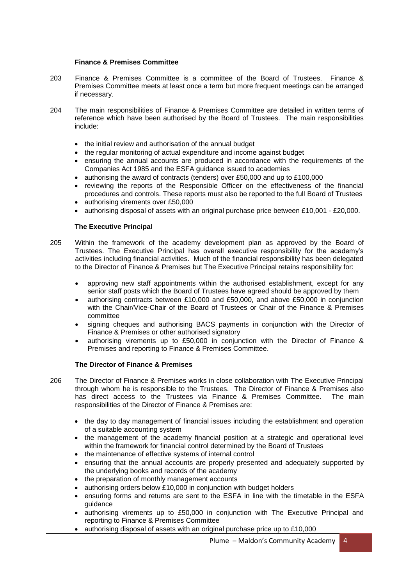#### **Finance & Premises Committee**

- 203 Finance & Premises Committee is a committee of the Board of Trustees. Finance & Premises Committee meets at least once a term but more frequent meetings can be arranged if necessary.
- 204 The main responsibilities of Finance & Premises Committee are detailed in written terms of reference which have been authorised by the Board of Trustees. The main responsibilities include:
	- the initial review and authorisation of the annual budget
	- the regular monitoring of actual expenditure and income against budget
	- ensuring the annual accounts are produced in accordance with the requirements of the Companies Act 1985 and the ESFA guidance issued to academies
	- authorising the award of contracts (tenders) over £50,000 and up to £100,000
	- reviewing the reports of the Responsible Officer on the effectiveness of the financial procedures and controls. These reports must also be reported to the full Board of Trustees
	- authorising virements over £50,000
	- authorising disposal of assets with an original purchase price between £10,001 £20,000.

#### **The Executive Principal**

- 205 Within the framework of the academy development plan as approved by the Board of Trustees. The Executive Principal has overall executive responsibility for the academy's activities including financial activities. Much of the financial responsibility has been delegated to the Director of Finance & Premises but The Executive Principal retains responsibility for:
	- approving new staff appointments within the authorised establishment, except for any senior staff posts which the Board of Trustees have agreed should be approved by them
	- authorising contracts between £10,000 and £50,000, and above £50,000 in conjunction with the Chair/Vice-Chair of the Board of Trustees or Chair of the Finance & Premises committee
	- signing cheques and authorising BACS payments in conjunction with the Director of Finance & Premises or other authorised signatory
	- authorising virements up to £50,000 in conjunction with the Director of Finance & Premises and reporting to Finance & Premises Committee.

#### **The Director of Finance & Premises**

- 206 The Director of Finance & Premises works in close collaboration with The Executive Principal through whom he is responsible to the Trustees. The Director of Finance & Premises also has direct access to the Trustees via Finance & Premises Committee. The main responsibilities of the Director of Finance & Premises are:
	- the day to day management of financial issues including the establishment and operation of a suitable accounting system
	- the management of the academy financial position at a strategic and operational level within the framework for financial control determined by the Board of Trustees
	- the maintenance of effective systems of internal control
	- ensuring that the annual accounts are properly presented and adequately supported by the underlying books and records of the academy
	- the preparation of monthly management accounts
	- authorising orders below £10,000 in conjunction with budget holders
	- ensuring forms and returns are sent to the ESFA in line with the timetable in the ESFA guidance
	- authorising virements up to £50,000 in conjunction with The Executive Principal and reporting to Finance & Premises Committee
	- authorising disposal of assets with an original purchase price up to £10,000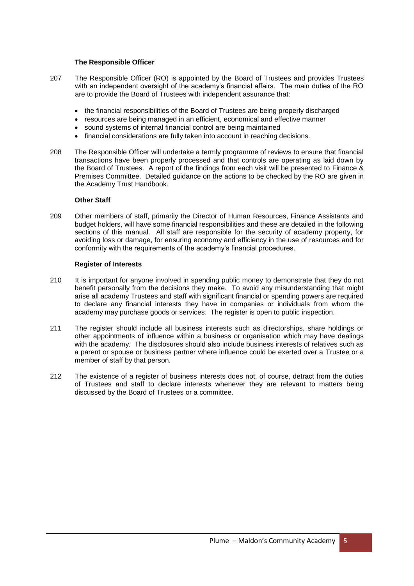#### **The Responsible Officer**

- 207 The Responsible Officer (RO) is appointed by the Board of Trustees and provides Trustees with an independent oversight of the academy's financial affairs. The main duties of the RO are to provide the Board of Trustees with independent assurance that:
	- the financial responsibilities of the Board of Trustees are being properly discharged
	- resources are being managed in an efficient, economical and effective manner
	- sound systems of internal financial control are being maintained
	- financial considerations are fully taken into account in reaching decisions.
- 208 The Responsible Officer will undertake a termly programme of reviews to ensure that financial transactions have been properly processed and that controls are operating as laid down by the Board of Trustees. A report of the findings from each visit will be presented to Finance & Premises Committee. Detailed guidance on the actions to be checked by the RO are given in the Academy Trust Handbook.

#### **Other Staff**

209 Other members of staff, primarily the Director of Human Resources, Finance Assistants and budget holders, will have some financial responsibilities and these are detailed in the following sections of this manual. All staff are responsible for the security of academy property, for avoiding loss or damage, for ensuring economy and efficiency in the use of resources and for conformity with the requirements of the academy's financial procedures.

#### **Register of Interests**

- 210 It is important for anyone involved in spending public money to demonstrate that they do not benefit personally from the decisions they make. To avoid any misunderstanding that might arise all academy Trustees and staff with significant financial or spending powers are required to declare any financial interests they have in companies or individuals from whom the academy may purchase goods or services. The register is open to public inspection.
- 211 The register should include all business interests such as directorships, share holdings or other appointments of influence within a business or organisation which may have dealings with the academy. The disclosures should also include business interests of relatives such as a parent or spouse or business partner where influence could be exerted over a Trustee or a member of staff by that person.
- 212 The existence of a register of business interests does not, of course, detract from the duties of Trustees and staff to declare interests whenever they are relevant to matters being discussed by the Board of Trustees or a committee.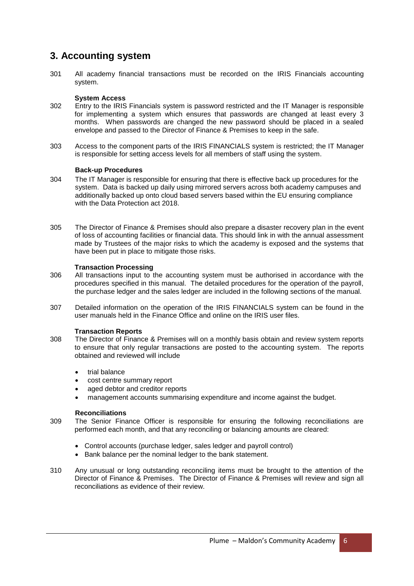## **3. Accounting system**

301 All academy financial transactions must be recorded on the IRIS Financials accounting system.

#### **System Access**

- 302 Entry to the IRIS Financials system is password restricted and the IT Manager is responsible for implementing a system which ensures that passwords are changed at least every 3 months. When passwords are changed the new password should be placed in a sealed envelope and passed to the Director of Finance & Premises to keep in the safe.
- 303 Access to the component parts of the IRIS FINANCIALS system is restricted; the IT Manager is responsible for setting access levels for all members of staff using the system.

#### **Back-up Procedures**

- 304 The IT Manager is responsible for ensuring that there is effective back up procedures for the system. Data is backed up daily using mirrored servers across both academy campuses and additionally backed up onto cloud based servers based within the EU ensuring compliance with the Data Protection act 2018.
- 305 The Director of Finance & Premises should also prepare a disaster recovery plan in the event of loss of accounting facilities or financial data. This should link in with the annual assessment made by Trustees of the major risks to which the academy is exposed and the systems that have been put in place to mitigate those risks.

#### **Transaction Processing**

- 306 All transactions input to the accounting system must be authorised in accordance with the procedures specified in this manual. The detailed procedures for the operation of the payroll, the purchase ledger and the sales ledger are included in the following sections of the manual.
- 307 Detailed information on the operation of the IRIS FINANCIALS system can be found in the user manuals held in the Finance Office and online on the IRIS user files.

#### **Transaction Reports**

- 308 The Director of Finance & Premises will on a monthly basis obtain and review system reports to ensure that only regular transactions are posted to the accounting system. The reports obtained and reviewed will include
	- trial balance
	- cost centre summary report
	- aged debtor and creditor reports
	- management accounts summarising expenditure and income against the budget.

#### **Reconciliations**

- 309 The Senior Finance Officer is responsible for ensuring the following reconciliations are performed each month, and that any reconciling or balancing amounts are cleared:
	- Control accounts (purchase ledger, sales ledger and payroll control)
	- Bank balance per the nominal ledger to the bank statement.
- 310 Any unusual or long outstanding reconciling items must be brought to the attention of the Director of Finance & Premises. The Director of Finance & Premises will review and sign all reconciliations as evidence of their review.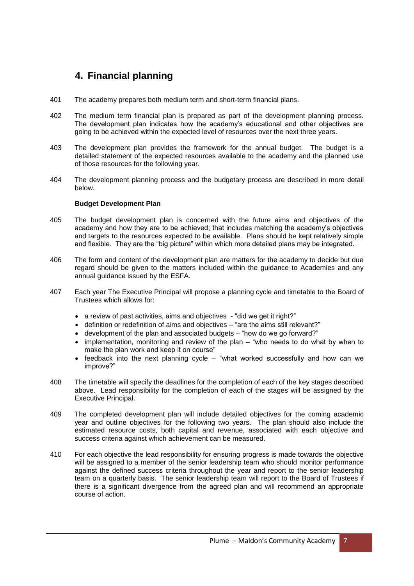## **4. Financial planning**

- 401 The academy prepares both medium term and short-term financial plans.
- 402 The medium term financial plan is prepared as part of the development planning process. The development plan indicates how the academy's educational and other objectives are going to be achieved within the expected level of resources over the next three years.
- 403 The development plan provides the framework for the annual budget. The budget is a detailed statement of the expected resources available to the academy and the planned use of those resources for the following year.
- 404 The development planning process and the budgetary process are described in more detail below.

#### **Budget Development Plan**

- 405 The budget development plan is concerned with the future aims and objectives of the academy and how they are to be achieved; that includes matching the academy's objectives and targets to the resources expected to be available. Plans should be kept relatively simple and flexible. They are the "big picture" within which more detailed plans may be integrated.
- 406 The form and content of the development plan are matters for the academy to decide but due regard should be given to the matters included within the guidance to Academies and any annual guidance issued by the ESFA.
- 407 Each year The Executive Principal will propose a planning cycle and timetable to the Board of Trustees which allows for:
	- a review of past activities, aims and objectives "did we get it right?"
	- definition or redefinition of aims and objectives "are the aims still relevant?"
	- development of the plan and associated budgets "how do we go forward?"
	- implementation, monitoring and review of the plan "who needs to do what by when to make the plan work and keep it on course"
	- feedback into the next planning cycle "what worked successfully and how can we improve?"
- 408 The timetable will specify the deadlines for the completion of each of the key stages described above. Lead responsibility for the completion of each of the stages will be assigned by the Executive Principal.
- 409 The completed development plan will include detailed objectives for the coming academic year and outline objectives for the following two years. The plan should also include the estimated resource costs, both capital and revenue, associated with each objective and success criteria against which achievement can be measured.
- 410 For each objective the lead responsibility for ensuring progress is made towards the objective will be assigned to a member of the senior leadership team who should monitor performance against the defined success criteria throughout the year and report to the senior leadership team on a quarterly basis. The senior leadership team will report to the Board of Trustees if there is a significant divergence from the agreed plan and will recommend an appropriate course of action.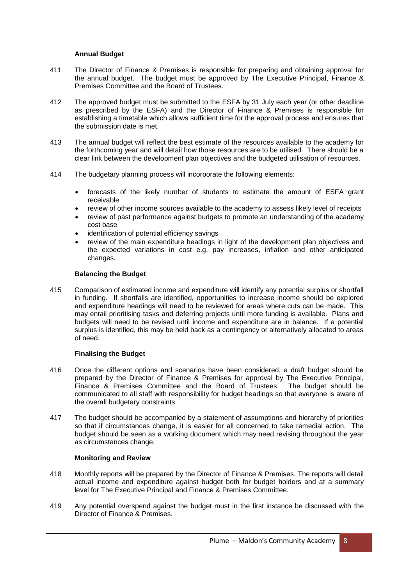#### **Annual Budget**

- 411 The Director of Finance & Premises is responsible for preparing and obtaining approval for the annual budget. The budget must be approved by The Executive Principal, Finance & Premises Committee and the Board of Trustees.
- 412 The approved budget must be submitted to the ESFA by 31 July each year (or other deadline as prescribed by the ESFA) and the Director of Finance & Premises is responsible for establishing a timetable which allows sufficient time for the approval process and ensures that the submission date is met.
- 413 The annual budget will reflect the best estimate of the resources available to the academy for the forthcoming year and will detail how those resources are to be utilised. There should be a clear link between the development plan objectives and the budgeted utilisation of resources.
- 414 The budgetary planning process will incorporate the following elements:
	- forecasts of the likely number of students to estimate the amount of ESFA grant receivable
	- review of other income sources available to the academy to assess likely level of receipts
	- review of past performance against budgets to promote an understanding of the academy cost base
	- identification of potential efficiency savings
	- review of the main expenditure headings in light of the development plan objectives and the expected variations in cost e.g. pay increases, inflation and other anticipated changes.

#### **Balancing the Budget**

415 Comparison of estimated income and expenditure will identify any potential surplus or shortfall in funding. If shortfalls are identified, opportunities to increase income should be explored and expenditure headings will need to be reviewed for areas where cuts can be made. This may entail prioritising tasks and deferring projects until more funding is available. Plans and budgets will need to be revised until income and expenditure are in balance. If a potential surplus is identified, this may be held back as a contingency or alternatively allocated to areas of need.

#### **Finalising the Budget**

- 416 Once the different options and scenarios have been considered, a draft budget should be prepared by the Director of Finance & Premises for approval by The Executive Principal, Finance & Premises Committee and the Board of Trustees. The budget should be communicated to all staff with responsibility for budget headings so that everyone is aware of the overall budgetary constraints.
- 417 The budget should be accompanied by a statement of assumptions and hierarchy of priorities so that if circumstances change, it is easier for all concerned to take remedial action. The budget should be seen as a working document which may need revising throughout the year as circumstances change.

#### **Monitoring and Review**

- 418 Monthly reports will be prepared by the Director of Finance & Premises. The reports will detail actual income and expenditure against budget both for budget holders and at a summary level for The Executive Principal and Finance & Premises Committee.
- 419 Any potential overspend against the budget must in the first instance be discussed with the Director of Finance & Premises.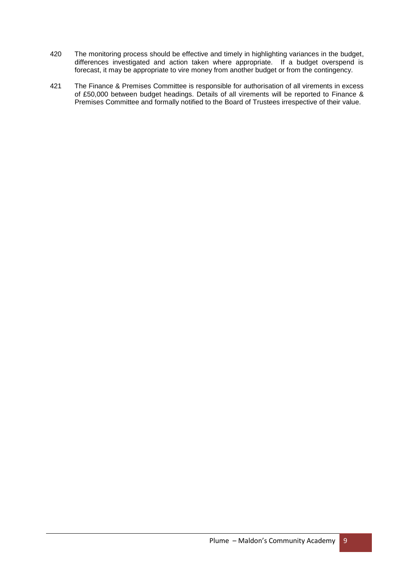- 420 The monitoring process should be effective and timely in highlighting variances in the budget, differences investigated and action taken where appropriate. If a budget overspend is forecast, it may be appropriate to vire money from another budget or from the contingency.
- 421 The Finance & Premises Committee is responsible for authorisation of all virements in excess of £50,000 between budget headings. Details of all virements will be reported to Finance & Premises Committee and formally notified to the Board of Trustees irrespective of their value.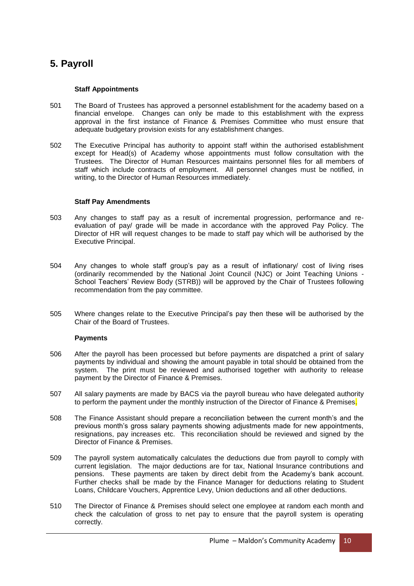# **5. Payroll**

#### **Staff Appointments**

- 501 The Board of Trustees has approved a personnel establishment for the academy based on a financial envelope. Changes can only be made to this establishment with the express approval in the first instance of Finance & Premises Committee who must ensure that adequate budgetary provision exists for any establishment changes.
- 502 The Executive Principal has authority to appoint staff within the authorised establishment except for Head(s) of Academy whose appointments must follow consultation with the Trustees. The Director of Human Resources maintains personnel files for all members of staff which include contracts of employment. All personnel changes must be notified, in writing, to the Director of Human Resources immediately.

#### **Staff Pay Amendments**

- 503 Any changes to staff pay as a result of incremental progression, performance and reevaluation of pay/ grade will be made in accordance with the approved Pay Policy. The Director of HR will request changes to be made to staff pay which will be authorised by the Executive Principal.
- 504 Any changes to whole staff group's pay as a result of inflationary/ cost of living rises (ordinarily recommended by the National Joint Council (NJC) or Joint Teaching Unions - School Teachers' Review Body (STRB)) will be approved by the Chair of Trustees following recommendation from the pay committee.
- 505 Where changes relate to the Executive Principal's pay then these will be authorised by the Chair of the Board of Trustees.

#### **Payments**

- 506 After the payroll has been processed but before payments are dispatched a print of salary payments by individual and showing the amount payable in total should be obtained from the system. The print must be reviewed and authorised together with authority to release payment by the Director of Finance & Premises.
- 507 All salary payments are made by BACS via the payroll bureau who have delegated authority to perform the payment under the monthly instruction of the Director of Finance & Premises.
- 508 The Finance Assistant should prepare a reconciliation between the current month's and the previous month's gross salary payments showing adjustments made for new appointments, resignations, pay increases etc. This reconciliation should be reviewed and signed by the Director of Finance & Premises.
- 509 The payroll system automatically calculates the deductions due from payroll to comply with current legislation. The major deductions are for tax, National Insurance contributions and pensions. These payments are taken by direct debit from the Academy's bank account. Further checks shall be made by the Finance Manager for deductions relating to Student Loans, Childcare Vouchers, Apprentice Levy, Union deductions and all other deductions.
- 510 The Director of Finance & Premises should select one employee at random each month and check the calculation of gross to net pay to ensure that the payroll system is operating correctly.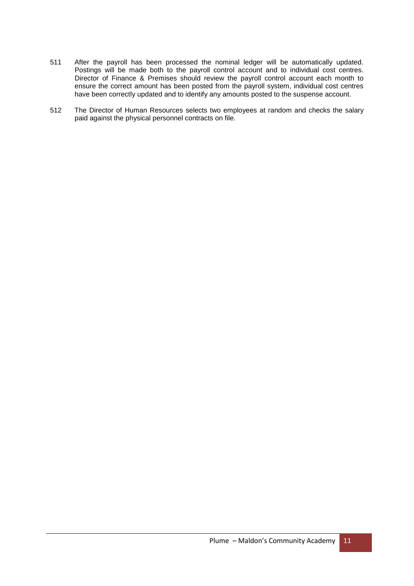- 511 After the payroll has been processed the nominal ledger will be automatically updated. Postings will be made both to the payroll control account and to individual cost centres. Director of Finance & Premises should review the payroll control account each month to ensure the correct amount has been posted from the payroll system, individual cost centres have been correctly updated and to identify any amounts posted to the suspense account.
- 512 The Director of Human Resources selects two employees at random and checks the salary paid against the physical personnel contracts on file.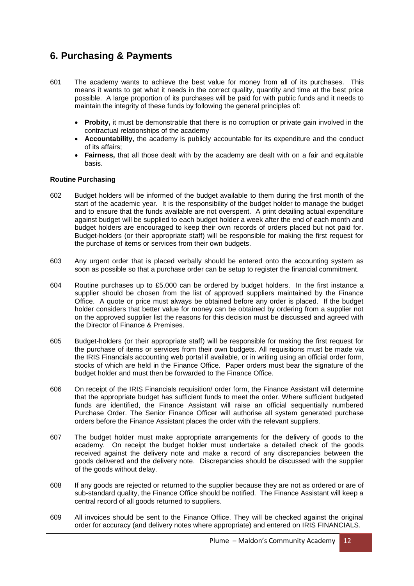# **6. Purchasing & Payments**

- 601 The academy wants to achieve the best value for money from all of its purchases. This means it wants to get what it needs in the correct quality, quantity and time at the best price possible. A large proportion of its purchases will be paid for with public funds and it needs to maintain the integrity of these funds by following the general principles of:
	- **Probity,** it must be demonstrable that there is no corruption or private gain involved in the contractual relationships of the academy
	- **Accountability,** the academy is publicly accountable for its expenditure and the conduct of its affairs;
	- **Fairness,** that all those dealt with by the academy are dealt with on a fair and equitable basis.

#### **Routine Purchasing**

- 602 Budget holders will be informed of the budget available to them during the first month of the start of the academic year. It is the responsibility of the budget holder to manage the budget and to ensure that the funds available are not overspent. A print detailing actual expenditure against budget will be supplied to each budget holder a week after the end of each month and budget holders are encouraged to keep their own records of orders placed but not paid for. Budget-holders (or their appropriate staff) will be responsible for making the first request for the purchase of items or services from their own budgets.
- 603 Any urgent order that is placed verbally should be entered onto the accounting system as soon as possible so that a purchase order can be setup to register the financial commitment.
- 604 Routine purchases up to £5,000 can be ordered by budget holders. In the first instance a supplier should be chosen from the list of approved suppliers maintained by the Finance Office. A quote or price must always be obtained before any order is placed. If the budget holder considers that better value for money can be obtained by ordering from a supplier not on the approved supplier list the reasons for this decision must be discussed and agreed with the Director of Finance & Premises.
- 605 Budget-holders (or their appropriate staff) will be responsible for making the first request for the purchase of items or services from their own budgets. All requisitions must be made via the IRIS Financials accounting web portal if available, or in writing using an official order form, stocks of which are held in the Finance Office. Paper orders must bear the signature of the budget holder and must then be forwarded to the Finance Office.
- 606 On receipt of the IRIS Financials requisition/ order form, the Finance Assistant will determine that the appropriate budget has sufficient funds to meet the order. Where sufficient budgeted funds are identified, the Finance Assistant will raise an official sequentially numbered Purchase Order. The Senior Finance Officer will authorise all system generated purchase orders before the Finance Assistant places the order with the relevant suppliers.
- 607 The budget holder must make appropriate arrangements for the delivery of goods to the academy. On receipt the budget holder must undertake a detailed check of the goods received against the delivery note and make a record of any discrepancies between the goods delivered and the delivery note. Discrepancies should be discussed with the supplier of the goods without delay.
- 608 If any goods are rejected or returned to the supplier because they are not as ordered or are of sub-standard quality, the Finance Office should be notified. The Finance Assistant will keep a central record of all goods returned to suppliers.
- 609 All invoices should be sent to the Finance Office. They will be checked against the original order for accuracy (and delivery notes where appropriate) and entered on IRIS FINANCIALS.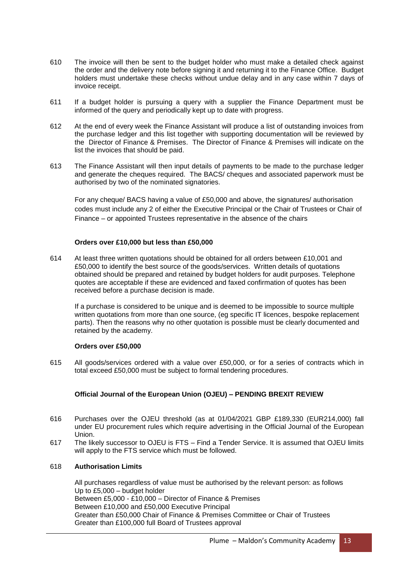- 610 The invoice will then be sent to the budget holder who must make a detailed check against the order and the delivery note before signing it and returning it to the Finance Office. Budget holders must undertake these checks without undue delay and in any case within 7 days of invoice receipt.
- 611 If a budget holder is pursuing a query with a supplier the Finance Department must be informed of the query and periodically kept up to date with progress.
- 612 At the end of every week the Finance Assistant will produce a list of outstanding invoices from the purchase ledger and this list together with supporting documentation will be reviewed by the Director of Finance & Premises. The Director of Finance & Premises will indicate on the list the invoices that should be paid.
- 613 The Finance Assistant will then input details of payments to be made to the purchase ledger and generate the cheques required. The BACS/ cheques and associated paperwork must be authorised by two of the nominated signatories.

For any cheque/ BACS having a value of £50,000 and above, the signatures/ authorisation codes must include any 2 of either the Executive Principal or the Chair of Trustees or Chair of Finance – or appointed Trustees representative in the absence of the chairs

#### **Orders over £10,000 but less than £50,000**

614 At least three written quotations should be obtained for all orders between £10,001 and £50,000 to identify the best source of the goods/services. Written details of quotations obtained should be prepared and retained by budget holders for audit purposes. Telephone quotes are acceptable if these are evidenced and faxed confirmation of quotes has been received before a purchase decision is made.

If a purchase is considered to be unique and is deemed to be impossible to source multiple written quotations from more than one source, (eg specific IT licences, bespoke replacement parts). Then the reasons why no other quotation is possible must be clearly documented and retained by the academy.

#### **Orders over £50,000**

615 All goods/services ordered with a value over £50,000, or for a series of contracts which in total exceed £50,000 must be subject to formal tendering procedures.

#### **Official Journal of the European Union (OJEU) – PENDING BREXIT REVIEW**

- 616 Purchases over the OJEU threshold (as at 01/04/2021 GBP £189,330 (EUR214,000) fall under EU procurement rules which require advertising in the Official Journal of the European Union.
- 617 The likely successor to OJEU is FTS Find a Tender Service. It is assumed that OJEU limits will apply to the FTS service which must be followed.

#### 618 **Authorisation Limits**

All purchases regardless of value must be authorised by the relevant person: as follows Up to £5,000 – budget holder Between £5,000 - £10,000 – Director of Finance & Premises Between £10,000 and £50,000 Executive Principal Greater than £50,000 Chair of Finance & Premises Committee or Chair of Trustees Greater than £100,000 full Board of Trustees approval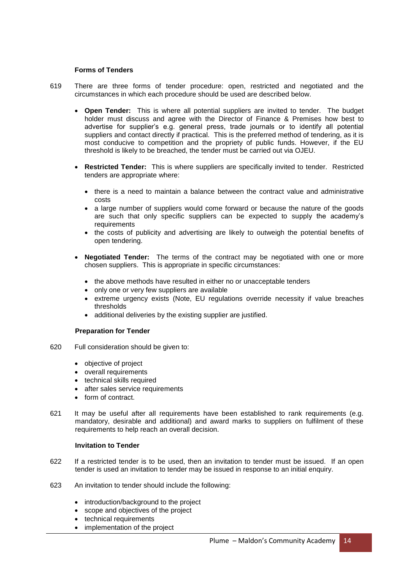#### **Forms of Tenders**

- 619 There are three forms of tender procedure: open, restricted and negotiated and the circumstances in which each procedure should be used are described below.
	- **Open Tender:** This is where all potential suppliers are invited to tender. The budget holder must discuss and agree with the Director of Finance & Premises how best to advertise for supplier's e.g. general press, trade journals or to identify all potential suppliers and contact directly if practical. This is the preferred method of tendering, as it is most conducive to competition and the propriety of public funds. However, if the EU threshold is likely to be breached, the tender must be carried out via OJEU.
	- **Restricted Tender:** This is where suppliers are specifically invited to tender. Restricted tenders are appropriate where:
		- there is a need to maintain a balance between the contract value and administrative costs
		- a large number of suppliers would come forward or because the nature of the goods are such that only specific suppliers can be expected to supply the academy's requirements
		- the costs of publicity and advertising are likely to outweigh the potential benefits of open tendering.
	- **Negotiated Tender:** The terms of the contract may be negotiated with one or more chosen suppliers. This is appropriate in specific circumstances:
		- the above methods have resulted in either no or unacceptable tenders
		- only one or very few suppliers are available
		- extreme urgency exists (Note, EU regulations override necessity if value breaches thresholds
		- additional deliveries by the existing supplier are justified.

#### **Preparation for Tender**

- 620 Full consideration should be given to:
	- objective of project
	- overall requirements
	- technical skills required
	- after sales service requirements
	- form of contract.
- 621 It may be useful after all requirements have been established to rank requirements (e.g. mandatory, desirable and additional) and award marks to suppliers on fulfilment of these requirements to help reach an overall decision.

#### **Invitation to Tender**

- 622 If a restricted tender is to be used, then an invitation to tender must be issued. If an open tender is used an invitation to tender may be issued in response to an initial enquiry.
- 623 An invitation to tender should include the following:
	- introduction/background to the project
	- scope and objectives of the project
	- technical requirements
	- implementation of the project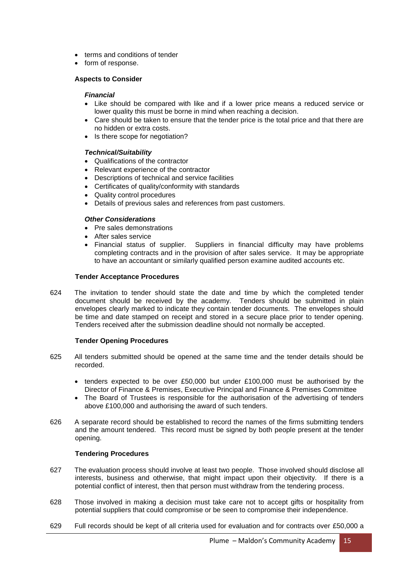- terms and conditions of tender
- form of response.

#### **Aspects to Consider**

#### *Financial*

- Like should be compared with like and if a lower price means a reduced service or lower quality this must be borne in mind when reaching a decision.
- Care should be taken to ensure that the tender price is the total price and that there are no hidden or extra costs.
- Is there scope for negotiation?

#### *Technical/Suitability*

- Qualifications of the contractor
- Relevant experience of the contractor
- Descriptions of technical and service facilities
- Certificates of quality/conformity with standards
- Quality control procedures
- Details of previous sales and references from past customers.

#### *Other Considerations*

- Pre sales demonstrations
- After sales service
- Financial status of supplier. Suppliers in financial difficulty may have problems completing contracts and in the provision of after sales service. It may be appropriate to have an accountant or similarly qualified person examine audited accounts etc.

#### **Tender Acceptance Procedures**

624 The invitation to tender should state the date and time by which the completed tender document should be received by the academy. Tenders should be submitted in plain envelopes clearly marked to indicate they contain tender documents. The envelopes should be time and date stamped on receipt and stored in a secure place prior to tender opening. Tenders received after the submission deadline should not normally be accepted.

#### **Tender Opening Procedures**

- 625 All tenders submitted should be opened at the same time and the tender details should be recorded.
	- tenders expected to be over £50,000 but under £100,000 must be authorised by the Director of Finance & Premises, Executive Principal and Finance & Premises Committee
	- The Board of Trustees is responsible for the authorisation of the advertising of tenders above £100,000 and authorising the award of such tenders.
- 626 A separate record should be established to record the names of the firms submitting tenders and the amount tendered. This record must be signed by both people present at the tender opening.

#### **Tendering Procedures**

- 627 The evaluation process should involve at least two people. Those involved should disclose all interests, business and otherwise, that might impact upon their objectivity. If there is a potential conflict of interest, then that person must withdraw from the tendering process.
- 628 Those involved in making a decision must take care not to accept gifts or hospitality from potential suppliers that could compromise or be seen to compromise their independence.
- 629 Full records should be kept of all criteria used for evaluation and for contracts over £50,000 a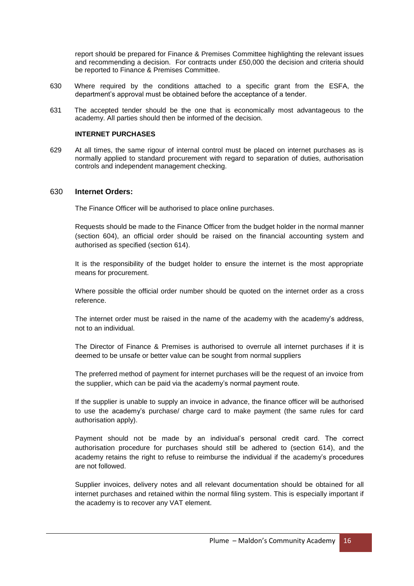report should be prepared for Finance & Premises Committee highlighting the relevant issues and recommending a decision. For contracts under £50,000 the decision and criteria should be reported to Finance & Premises Committee.

- 630 Where required by the conditions attached to a specific grant from the ESFA, the department's approval must be obtained before the acceptance of a tender.
- 631 The accepted tender should be the one that is economically most advantageous to the academy. All parties should then be informed of the decision.

#### **INTERNET PURCHASES**

629 At all times, the same rigour of internal control must be placed on internet purchases as is normally applied to standard procurement with regard to separation of duties, authorisation controls and independent management checking.

#### 630 **Internet Orders:**

The Finance Officer will be authorised to place online purchases.

Requests should be made to the Finance Officer from the budget holder in the normal manner (section 604), an official order should be raised on the financial accounting system and authorised as specified (section 614).

It is the responsibility of the budget holder to ensure the internet is the most appropriate means for procurement.

Where possible the official order number should be quoted on the internet order as a cross reference.

The internet order must be raised in the name of the academy with the academy's address, not to an individual.

The Director of Finance & Premises is authorised to overrule all internet purchases if it is deemed to be unsafe or better value can be sought from normal suppliers

The preferred method of payment for internet purchases will be the request of an invoice from the supplier, which can be paid via the academy's normal payment route.

If the supplier is unable to supply an invoice in advance, the finance officer will be authorised to use the academy's purchase/ charge card to make payment (the same rules for card authorisation apply).

Payment should not be made by an individual's personal credit card. The correct authorisation procedure for purchases should still be adhered to (section 614), and the academy retains the right to refuse to reimburse the individual if the academy's procedures are not followed.

Supplier invoices, delivery notes and all relevant documentation should be obtained for all internet purchases and retained within the normal filing system. This is especially important if the academy is to recover any VAT element.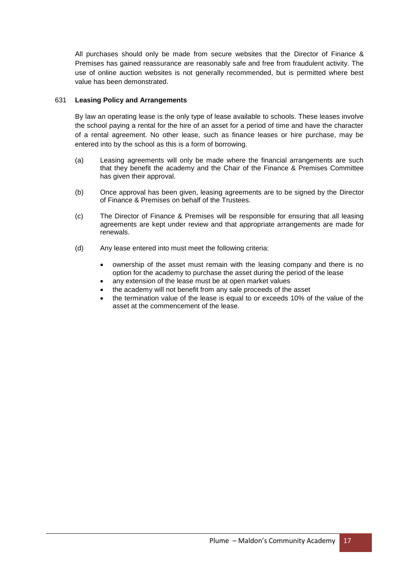All purchases should only be made from secure websites that the Director of Finance & Premises has gained reassurance are reasonably safe and free from fraudulent activity. The use of online auction websites is not generally recommended, but is permitted where best value has been demonstrated.

#### 631 **Leasing Policy and Arrangements**

By law an operating lease is the only type of lease available to schools. These leases involve the school paying a rental for the hire of an asset for a period of time and have the character of a rental agreement. No other lease, such as finance leases or hire purchase, may be entered into by the school as this is a form of borrowing.

- (a) Leasing agreements will only be made where the financial arrangements are such that they benefit the academy and the Chair of the Finance & Premises Committee has given their approval.
- (b) Once approval has been given, leasing agreements are to be signed by the Director of Finance & Premises on behalf of the Trustees.
- (c) The Director of Finance & Premises will be responsible for ensuring that all leasing agreements are kept under review and that appropriate arrangements are made for renewals.
- (d) Any lease entered into must meet the following criteria:
	- ownership of the asset must remain with the leasing company and there is no option for the academy to purchase the asset during the period of the lease
	- any extension of the lease must be at open market values
	- the academy will not benefit from any sale proceeds of the asset
	- the termination value of the lease is equal to or exceeds 10% of the value of the asset at the commencement of the lease.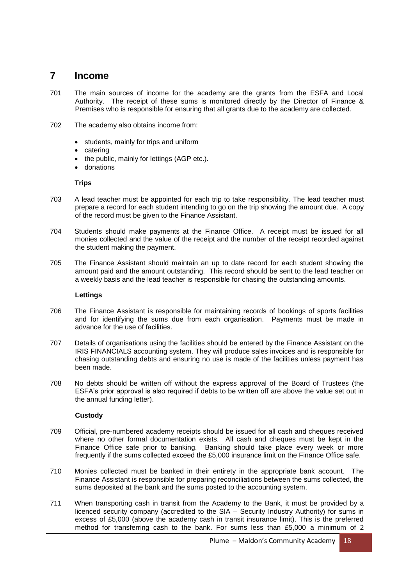## **7 Income**

- 701 The main sources of income for the academy are the grants from the ESFA and Local Authority. The receipt of these sums is monitored directly by the Director of Finance & Premises who is responsible for ensuring that all grants due to the academy are collected.
- 702 The academy also obtains income from:
	- students, mainly for trips and uniform
	- catering
	- the public, mainly for lettings (AGP etc.).
	- donations

#### **Trips**

- 703 A lead teacher must be appointed for each trip to take responsibility. The lead teacher must prepare a record for each student intending to go on the trip showing the amount due. A copy of the record must be given to the Finance Assistant.
- 704 Students should make payments at the Finance Office. A receipt must be issued for all monies collected and the value of the receipt and the number of the receipt recorded against the student making the payment.
- 705 The Finance Assistant should maintain an up to date record for each student showing the amount paid and the amount outstanding. This record should be sent to the lead teacher on a weekly basis and the lead teacher is responsible for chasing the outstanding amounts.

#### **Lettings**

- 706 The Finance Assistant is responsible for maintaining records of bookings of sports facilities and for identifying the sums due from each organisation. Payments must be made in advance for the use of facilities.
- 707 Details of organisations using the facilities should be entered by the Finance Assistant on the IRIS FINANCIALS accounting system. They will produce sales invoices and is responsible for chasing outstanding debts and ensuring no use is made of the facilities unless payment has been made.
- 708 No debts should be written off without the express approval of the Board of Trustees (the ESFA's prior approval is also required if debts to be written off are above the value set out in the annual funding letter).

#### **Custody**

- 709 Official, pre-numbered academy receipts should be issued for all cash and cheques received where no other formal documentation exists. All cash and cheques must be kept in the Finance Office safe prior to banking. Banking should take place every week or more frequently if the sums collected exceed the £5,000 insurance limit on the Finance Office safe.
- 710 Monies collected must be banked in their entirety in the appropriate bank account. The Finance Assistant is responsible for preparing reconciliations between the sums collected, the sums deposited at the bank and the sums posted to the accounting system.
- 711 When transporting cash in transit from the Academy to the Bank, it must be provided by a licenced security company (accredited to the SIA – Security Industry Authority) for sums in excess of £5,000 (above the academy cash in transit insurance limit). This is the preferred method for transferring cash to the bank. For sums less than £5,000 a minimum of 2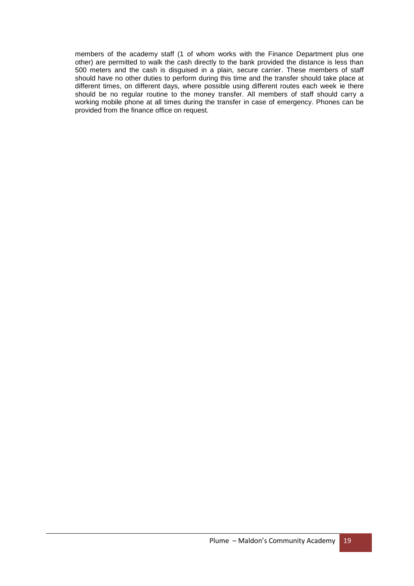members of the academy staff (1 of whom works with the Finance Department plus one other) are permitted to walk the cash directly to the bank provided the distance is less than 500 meters and the cash is disguised in a plain, secure carrier. These members of staff should have no other duties to perform during this time and the transfer should take place at different times, on different days, where possible using different routes each week ie there should be no regular routine to the money transfer. All members of staff should carry a working mobile phone at all times during the transfer in case of emergency. Phones can be provided from the finance office on request.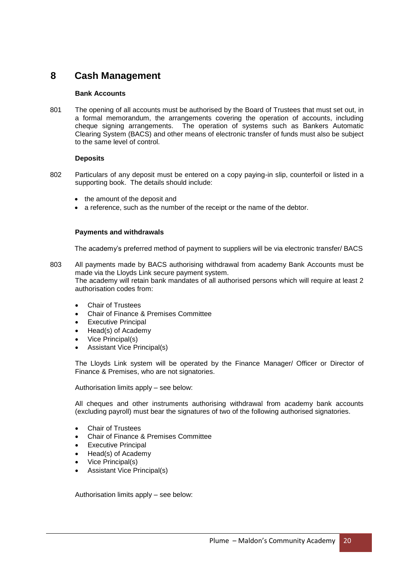## **8 Cash Management**

#### **Bank Accounts**

801 The opening of all accounts must be authorised by the Board of Trustees that must set out, in a formal memorandum, the arrangements covering the operation of accounts, including cheque signing arrangements. The operation of systems such as Bankers Automatic Clearing System (BACS) and other means of electronic transfer of funds must also be subject to the same level of control.

#### **Deposits**

- 802 Particulars of any deposit must be entered on a copy paying-in slip, counterfoil or listed in a supporting book. The details should include:
	- the amount of the deposit and
	- a reference, such as the number of the receipt or the name of the debtor.

#### **Payments and withdrawals**

The academy's preferred method of payment to suppliers will be via electronic transfer/ BACS

- 803 All payments made by BACS authorising withdrawal from academy Bank Accounts must be made via the Lloyds Link secure payment system. The academy will retain bank mandates of all authorised persons which will require at least 2 authorisation codes from:
	- Chair of Trustees
	- Chair of Finance & Premises Committee
	- Executive Principal
	- Head(s) of Academy
	- Vice Principal(s)
	- Assistant Vice Principal(s)

The Lloyds Link system will be operated by the Finance Manager/ Officer or Director of Finance & Premises, who are not signatories.

Authorisation limits apply – see below:

All cheques and other instruments authorising withdrawal from academy bank accounts (excluding payroll) must bear the signatures of two of the following authorised signatories.

- Chair of Trustees
- Chair of Finance & Premises Committee
- Executive Principal
- Head(s) of Academy
- Vice Principal(s)
- Assistant Vice Principal(s)

Authorisation limits apply – see below: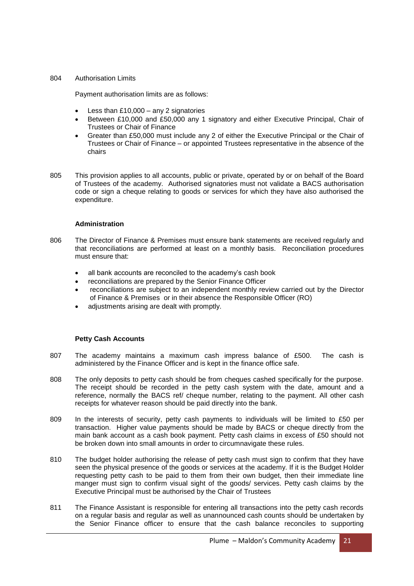#### 804 Authorisation Limits

Payment authorisation limits are as follows:

- Less than £10,000 any 2 signatories
- Between £10,000 and £50,000 any 1 signatory and either Executive Principal, Chair of Trustees or Chair of Finance
- Greater than £50,000 must include any 2 of either the Executive Principal or the Chair of Trustees or Chair of Finance – or appointed Trustees representative in the absence of the chairs
- 805 This provision applies to all accounts, public or private, operated by or on behalf of the Board of Trustees of the academy. Authorised signatories must not validate a BACS authorisation code or sign a cheque relating to goods or services for which they have also authorised the expenditure.

#### **Administration**

- 806 The Director of Finance & Premises must ensure bank statements are received regularly and that reconciliations are performed at least on a monthly basis. Reconciliation procedures must ensure that:
	- all bank accounts are reconciled to the academy's cash book
	- reconciliations are prepared by the Senior Finance Officer
	- reconciliations are subject to an independent monthly review carried out by the Director of Finance & Premises or in their absence the Responsible Officer (RO)
	- adjustments arising are dealt with promptly.

#### **Petty Cash Accounts**

- 807 The academy maintains a maximum cash impress balance of £500. The cash is administered by the Finance Officer and is kept in the finance office safe.
- 808 The only deposits to petty cash should be from cheques cashed specifically for the purpose. The receipt should be recorded in the petty cash system with the date, amount and a reference, normally the BACS ref/ cheque number, relating to the payment. All other cash receipts for whatever reason should be paid directly into the bank.
- 809 In the interests of security, petty cash payments to individuals will be limited to £50 per transaction. Higher value payments should be made by BACS or cheque directly from the main bank account as a cash book payment. Petty cash claims in excess of £50 should not be broken down into small amounts in order to circumnavigate these rules.
- 810 The budget holder authorising the release of petty cash must sign to confirm that they have seen the physical presence of the goods or services at the academy. If it is the Budget Holder requesting petty cash to be paid to them from their own budget, then their immediate line manger must sign to confirm visual sight of the goods/ services. Petty cash claims by the Executive Principal must be authorised by the Chair of Trustees
- 811 The Finance Assistant is responsible for entering all transactions into the petty cash records on a regular basis and regular as well as unannounced cash counts should be undertaken by the Senior Finance officer to ensure that the cash balance reconciles to supporting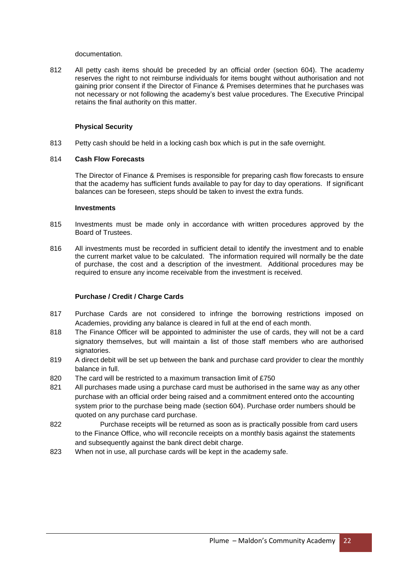documentation.

812 All petty cash items should be preceded by an official order (section 604). The academy reserves the right to not reimburse individuals for items bought without authorisation and not gaining prior consent if the Director of Finance & Premises determines that he purchases was not necessary or not following the academy's best value procedures. The Executive Principal retains the final authority on this matter.

#### **Physical Security**

813 Petty cash should be held in a locking cash box which is put in the safe overnight.

#### 814 **Cash Flow Forecasts**

The Director of Finance & Premises is responsible for preparing cash flow forecasts to ensure that the academy has sufficient funds available to pay for day to day operations. If significant balances can be foreseen, steps should be taken to invest the extra funds.

#### **Investments**

- 815 Investments must be made only in accordance with written procedures approved by the Board of Trustees.
- 816 All investments must be recorded in sufficient detail to identify the investment and to enable the current market value to be calculated. The information required will normally be the date of purchase, the cost and a description of the investment. Additional procedures may be required to ensure any income receivable from the investment is received.

#### **Purchase / Credit / Charge Cards**

- 817 Purchase Cards are not considered to infringe the borrowing restrictions imposed on Academies, providing any balance is cleared in full at the end of each month.
- 818 The Finance Officer will be appointed to administer the use of cards, they will not be a card signatory themselves, but will maintain a list of those staff members who are authorised signatories.
- 819 A direct debit will be set up between the bank and purchase card provider to clear the monthly balance in full.
- 820 The card will be restricted to a maximum transaction limit of £750
- 821 All purchases made using a purchase card must be authorised in the same way as any other purchase with an official order being raised and a commitment entered onto the accounting system prior to the purchase being made (section 604). Purchase order numbers should be quoted on any purchase card purchase.
- 822 Purchase receipts will be returned as soon as is practically possible from card users to the Finance Office, who will reconcile receipts on a monthly basis against the statements and subsequently against the bank direct debit charge.
- 823 When not in use, all purchase cards will be kept in the academy safe.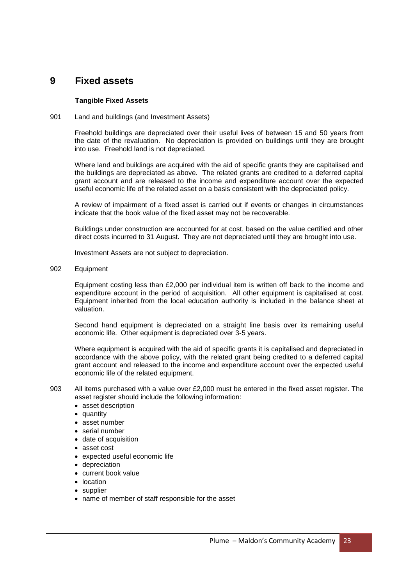### **9 Fixed assets**

#### **Tangible Fixed Assets**

#### 901 Land and buildings (and Investment Assets)

Freehold buildings are depreciated over their useful lives of between 15 and 50 years from the date of the revaluation. No depreciation is provided on buildings until they are brought into use. Freehold land is not depreciated.

Where land and buildings are acquired with the aid of specific grants they are capitalised and the buildings are depreciated as above. The related grants are credited to a deferred capital grant account and are released to the income and expenditure account over the expected useful economic life of the related asset on a basis consistent with the depreciated policy.

A review of impairment of a fixed asset is carried out if events or changes in circumstances indicate that the book value of the fixed asset may not be recoverable.

Buildings under construction are accounted for at cost, based on the value certified and other direct costs incurred to 31 August. They are not depreciated until they are brought into use.

Investment Assets are not subject to depreciation.

902 Equipment

Equipment costing less than £2,000 per individual item is written off back to the income and expenditure account in the period of acquisition. All other equipment is capitalised at cost. Equipment inherited from the local education authority is included in the balance sheet at valuation.

Second hand equipment is depreciated on a straight line basis over its remaining useful economic life. Other equipment is depreciated over 3-5 years.

Where equipment is acquired with the aid of specific grants it is capitalised and depreciated in accordance with the above policy, with the related grant being credited to a deferred capital grant account and released to the income and expenditure account over the expected useful economic life of the related equipment.

- 903 All items purchased with a value over £2,000 must be entered in the fixed asset register. The asset register should include the following information:
	- asset description
	- quantity
	- asset number
	- serial number
	- date of acquisition
	- asset cost
	- expected useful economic life
	- depreciation
	- current book value
	- location
	- supplier
	- name of member of staff responsible for the asset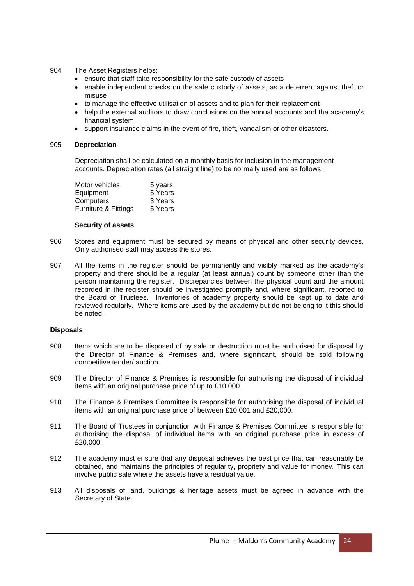- 904 The Asset Registers helps:
	- ensure that staff take responsibility for the safe custody of assets
	- enable independent checks on the safe custody of assets, as a deterrent against theft or misuse
	- to manage the effective utilisation of assets and to plan for their replacement
	- help the external auditors to draw conclusions on the annual accounts and the academy's financial system
	- support insurance claims in the event of fire, theft, vandalism or other disasters.

#### 905 **Depreciation**

Depreciation shall be calculated on a monthly basis for inclusion in the management accounts. Depreciation rates (all straight line) to be normally used are as follows:

| Motor vehicles       | 5 years |
|----------------------|---------|
| Equipment            | 5 Years |
| Computers            | 3 Years |
| Furniture & Fittings | 5 Years |
|                      |         |

#### **Security of assets**

- 906 Stores and equipment must be secured by means of physical and other security devices. Only authorised staff may access the stores.
- 907 All the items in the register should be permanently and visibly marked as the academy's property and there should be a regular (at least annual) count by someone other than the person maintaining the register. Discrepancies between the physical count and the amount recorded in the register should be investigated promptly and, where significant, reported to the Board of Trustees. Inventories of academy property should be kept up to date and reviewed regularly. Where items are used by the academy but do not belong to it this should be noted.

#### **Disposals**

- 908 Items which are to be disposed of by sale or destruction must be authorised for disposal by the Director of Finance & Premises and, where significant, should be sold following competitive tender/ auction.
- 909 The Director of Finance & Premises is responsible for authorising the disposal of individual items with an original purchase price of up to £10,000.
- 910 The Finance & Premises Committee is responsible for authorising the disposal of individual items with an original purchase price of between £10,001 and £20,000.
- 911 The Board of Trustees in conjunction with Finance & Premises Committee is responsible for authorising the disposal of individual items with an original purchase price in excess of £20,000.
- 912 The academy must ensure that any disposal achieves the best price that can reasonably be obtained, and maintains the principles of regularity, propriety and value for money. This can involve public sale where the assets have a residual value.
- 913 All disposals of land, buildings & heritage assets must be agreed in advance with the Secretary of State.